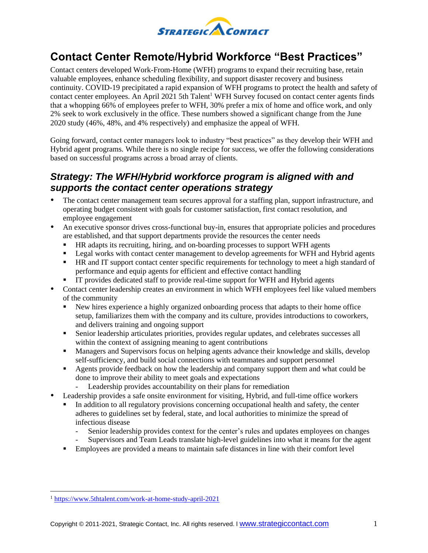

# **Contact Center Remote/Hybrid Workforce "Best Practices"**

Contact centers developed Work-From-Home (WFH) programs to expand their recruiting base, retain valuable employees, enhance scheduling flexibility, and support disaster recovery and business continuity. COVID-19 precipitated a rapid expansion of WFH programs to protect the health and safety of contact center employees. An April 2021 5th Talent<sup>1</sup> WFH Survey focused on contact center agents finds that a whopping 66% of employees prefer to WFH, 30% prefer a mix of home and office work, and only 2% seek to work exclusively in the office. These numbers showed a significant change from the June 2020 study (46%, 48%, and 4% respectively) and emphasize the appeal of WFH.

Going forward, contact center managers look to industry "best practices" as they develop their WFH and Hybrid agent programs. While there is no single recipe for success, we offer the following considerations based on successful programs across a broad array of clients.

#### *Strategy: The WFH/Hybrid workforce program is aligned with and supports the contact center operations strategy*

- The contact center management team secures approval for a staffing plan, support infrastructure, and operating budget consistent with goals for customer satisfaction, first contact resolution, and employee engagement
- An executive sponsor drives cross-functional buy-in, ensures that appropriate policies and procedures are established, and that support departments provide the resources the center needs
	- HR adapts its recruiting, hiring, and on-boarding processes to support WFH agents
	- **•** Legal works with contact center management to develop agreements for WFH and Hybrid agents
	- HR and IT support contact center specific requirements for technology to meet a high standard of performance and equip agents for efficient and effective contact handling
	- IT provides dedicated staff to provide real-time support for WFH and Hybrid agents
- Contact center leadership creates an environment in which WFH employees feel like valued members of the community
	- New hires experience a highly organized onboarding process that adapts to their home office setup, familiarizes them with the company and its culture, provides introductions to coworkers, and delivers training and ongoing support
	- Senior leadership articulates priorities, provides regular updates, and celebrates successes all within the context of assigning meaning to agent contributions
	- **EXECUTE:** Managers and Supervisors focus on helping agents advance their knowledge and skills, develop self-sufficiency, and build social connections with teammates and support personnel
	- Agents provide feedback on how the leadership and company support them and what could be done to improve their ability to meet goals and expectations
		- Leadership provides accountability on their plans for remediation
- Leadership provides a safe onsite environment for visiting, Hybrid, and full-time office workers
	- In addition to all regulatory provisions concerning occupational health and safety, the center adheres to guidelines set by federal, state, and local authorities to minimize the spread of infectious disease
		- Senior leadership provides context for the center's rules and updates employees on changes
		- Supervisors and Team Leads translate high-level guidelines into what it means for the agent
	- **Employees are provided a means to maintain safe distances in line with their comfort level**

<sup>1</sup> <https://www.5thtalent.com/work-at-home-study-april-2021>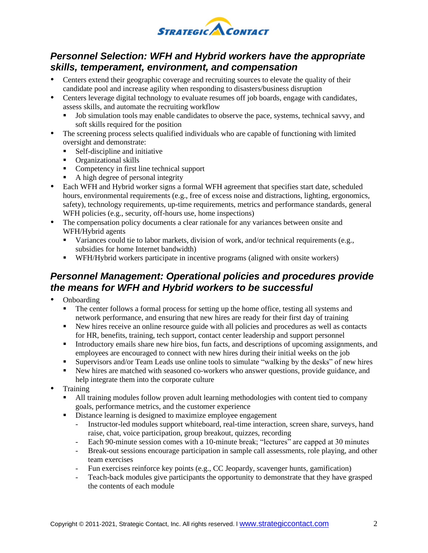

## *Personnel Selection: WFH and Hybrid workers have the appropriate skills, temperament, environment, and compensation*

- Centers extend their geographic coverage and recruiting sources to elevate the quality of their candidate pool and increase agility when responding to disasters/business disruption
- Centers leverage digital technology to evaluate resumes off job boards, engage with candidates, assess skills, and automate the recruiting workflow
	- Job simulation tools may enable candidates to observe the pace, systems, technical savvy, and soft skills required for the position
- The screening process selects qualified individuals who are capable of functioning with limited oversight and demonstrate:
	- Self-discipline and initiative
	- Organizational skills
	- Competency in first line technical support
	- A high degree of personal integrity
- Each WFH and Hybrid worker signs a formal WFH agreement that specifies start date, scheduled hours, environmental requirements (e.g., free of excess noise and distractions, lighting, ergonomics, safety), technology requirements, up-time requirements, metrics and performance standards, general WFH policies (e.g., security, off-hours use, home inspections)
- The compensation policy documents a clear rationale for any variances between onsite and WFH/Hybrid agents
	- Variances could tie to labor markets, division of work, and/or technical requirements (e.g., subsidies for home Internet bandwidth)
	- WFH/Hybrid workers participate in incentive programs (aligned with onsite workers)

## *Personnel Management: Operational policies and procedures provide the means for WFH and Hybrid workers to be successful*

- Onboarding
	- The center follows a formal process for setting up the home office, testing all systems and network performance, and ensuring that new hires are ready for their first day of training
	- New hires receive an online resource guide with all policies and procedures as well as contacts for HR, benefits, training, tech support, contact center leadership and support personnel
	- Introductory emails share new hire bios, fun facts, and descriptions of upcoming assignments, and employees are encouraged to connect with new hires during their initial weeks on the job
	- Supervisors and/or Team Leads use online tools to simulate "walking by the desks" of new hires
	- New hires are matched with seasoned co-workers who answer questions, provide guidance, and help integrate them into the corporate culture
- Training
	- All training modules follow proven adult learning methodologies with content tied to company goals, performance metrics, and the customer experience
	- **EXECUTE:** Distance learning is designed to maximize employee engagement
		- Instructor-led modules support whiteboard, real-time interaction, screen share, surveys, hand raise, chat, voice participation, group breakout, quizzes, recording
		- Each 90-minute session comes with a 10-minute break; "lectures" are capped at 30 minutes
		- Break-out sessions encourage participation in sample call assessments, role playing, and other team exercises
		- Fun exercises reinforce key points (e.g., CC Jeopardy, scavenger hunts, gamification)
		- Teach-back modules give participants the opportunity to demonstrate that they have grasped the contents of each module